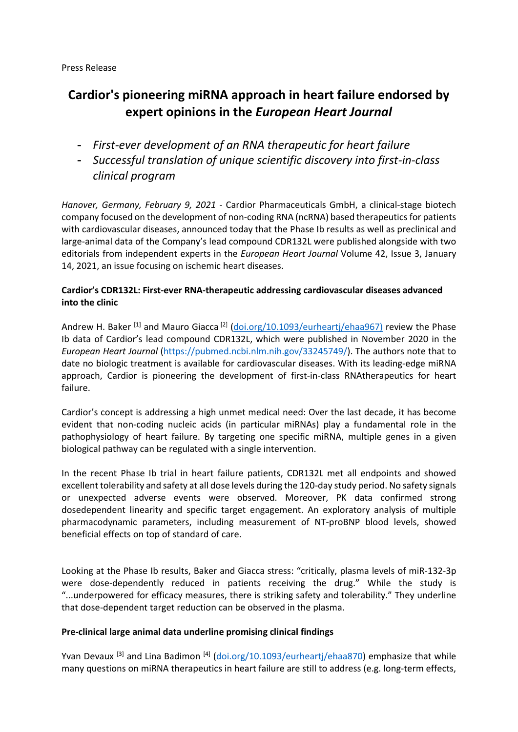# Press Release

# **Cardior's pioneering miRNA approach in heart failure endorsed by expert opinions in the** *European Heart Journal*

- *First-ever development of an RNA therapeutic for heart failure*
- *Successful translation of unique scientific discovery into first-in-class clinical program*

*Hanover, Germany, February 9, 2021* - Cardior Pharmaceuticals GmbH, a clinical-stage biotech company focused on the development of non-coding RNA (ncRNA) based therapeutics for patients with cardiovascular diseases, announced today that the Phase Ib results as well as preclinical and large-animal data of the Company's lead compound CDR132L were published alongside with two editorials from independent experts in the *European Heart Journal* Volume 42, Issue 3, January 14, 2021, an issue focusing on ischemic heart diseases.

# **Cardior's CDR132L: First-ever RNA-therapeutic addressing cardiovascular diseases advanced into the clinic**

Andrew H. Baker <sup>[1]</sup> and Mauro Giacca <sup>[2]</sup> [\(doi.org/10.1093/eurheartj/ehaa967\)](https://pubmed.ncbi.nlm.nih.gov/33338200/) review the Phase Ib data of Cardior's lead compound CDR132L, which were published in November 2020 in the *European Heart Journal* [\(https://pubmed.ncbi.nlm.nih.gov/33245749/\)](https://pubmed.ncbi.nlm.nih.gov/33245749/). The authors note that to date no biologic treatment is available for cardiovascular diseases. With its leading-edge miRNA approach, Cardior is pioneering the development of first-in-class RNAtherapeutics for heart failure.

Cardior's concept is addressing a high unmet medical need: Over the last decade, it has become evident that non-coding nucleic acids (in particular miRNAs) play a fundamental role in the pathophysiology of heart failure. By targeting one specific miRNA, multiple genes in a given biological pathway can be regulated with a single intervention.

In the recent Phase Ib trial in heart failure patients, CDR132L met all endpoints and showed excellent tolerability and safety at all dose levels during the 120-day study period. No safety signals or unexpected adverse events were observed. Moreover, PK data confirmed strong dosedependent linearity and specific target engagement. An exploratory analysis of multiple pharmacodynamic parameters, including measurement of NT-proBNP blood levels, showed beneficial effects on top of standard of care.

Looking at the Phase Ib results, Baker and Giacca stress: "critically, plasma levels of miR-132-3p were dose-dependently reduced in patients receiving the drug." While the study is "...underpowered for efficacy measures, there is striking safety and tolerability." They underline that dose-dependent target reduction can be observed in the plasma.

# **Pre-clinical large animal data underline promising clinical findings**

Yvan Devaux <sup>[3]</sup> and Lina Badimon <sup>[4]</sup> [\(doi.org/10.1093/eurheartj/ehaa870\)](https://pubmed.ncbi.nlm.nih.gov/33147612/) emphasize that while many questions on miRNA therapeutics in heart failure are still to address (e.g. long-term effects,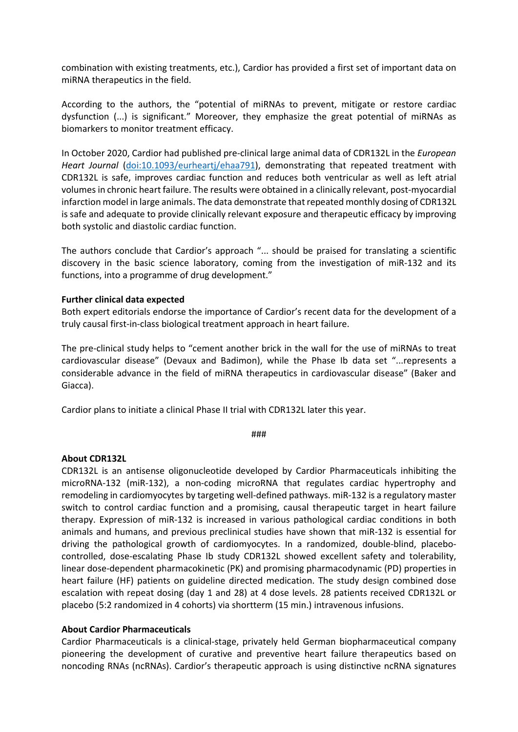combination with existing treatments, etc.), Cardior has provided a first set of important data on miRNA therapeutics in the field.

According to the authors, the "potential of miRNAs to prevent, mitigate or restore cardiac dysfunction (...) is significant." Moreover, they emphasize the great potential of miRNAs as biomarkers to monitor treatment efficacy.

In October 2020, Cardior had published pre-clinical large animal data of CDR132L in the *European Heart Journal* [\(doi:10.1093/eurheartj/ehaa791\)](https://pubmed.ncbi.nlm.nih.gov/33089304/), demonstrating that repeated treatment with CDR132L is safe, improves cardiac function and reduces both ventricular as well as left atrial volumes in chronic heart failure. The results were obtained in a clinically relevant, post-myocardial infarction model in large animals. The data demonstrate that repeated monthly dosing of CDR132L is safe and adequate to provide clinically relevant exposure and therapeutic efficacy by improving both systolic and diastolic cardiac function.

The authors conclude that Cardior's approach "... should be praised for translating a scientific discovery in the basic science laboratory, coming from the investigation of miR-132 and its functions, into a programme of drug development."

# **Further clinical data expected**

Both expert editorials endorse the importance of Cardior's recent data for the development of a truly causal first-in-class biological treatment approach in heart failure.

The pre-clinical study helps to "cement another brick in the wall for the use of miRNAs to treat cardiovascular disease" (Devaux and Badimon), while the Phase Ib data set "...represents a considerable advance in the field of miRNA therapeutics in cardiovascular disease" (Baker and Giacca).

Cardior plans to initiate a clinical Phase II trial with CDR132L later this year.

###

### **About CDR132L**

CDR132L is an antisense oligonucleotide developed by Cardior Pharmaceuticals inhibiting the microRNA-132 (miR-132), a non-coding microRNA that regulates cardiac hypertrophy and remodeling in cardiomyocytes by targeting well-defined pathways. miR-132 is a regulatory master switch to control cardiac function and a promising, causal therapeutic target in heart failure therapy. Expression of miR-132 is increased in various pathological cardiac conditions in both animals and humans, and previous preclinical studies have shown that miR-132 is essential for driving the pathological growth of cardiomyocytes. In a randomized, double-blind, placebocontrolled, dose-escalating Phase Ib study CDR132L showed excellent safety and tolerability, linear dose-dependent pharmacokinetic (PK) and promising pharmacodynamic (PD) properties in heart failure (HF) patients on guideline directed medication. The study design combined dose escalation with repeat dosing (day 1 and 28) at 4 dose levels. 28 patients received CDR132L or placebo (5:2 randomized in 4 cohorts) via shortterm (15 min.) intravenous infusions.

### **About Cardior Pharmaceuticals**

Cardior Pharmaceuticals is a clinical-stage, privately held German biopharmaceutical company pioneering the development of curative and preventive heart failure therapeutics based on noncoding RNAs (ncRNAs). Cardior's therapeutic approach is using distinctive ncRNA signatures